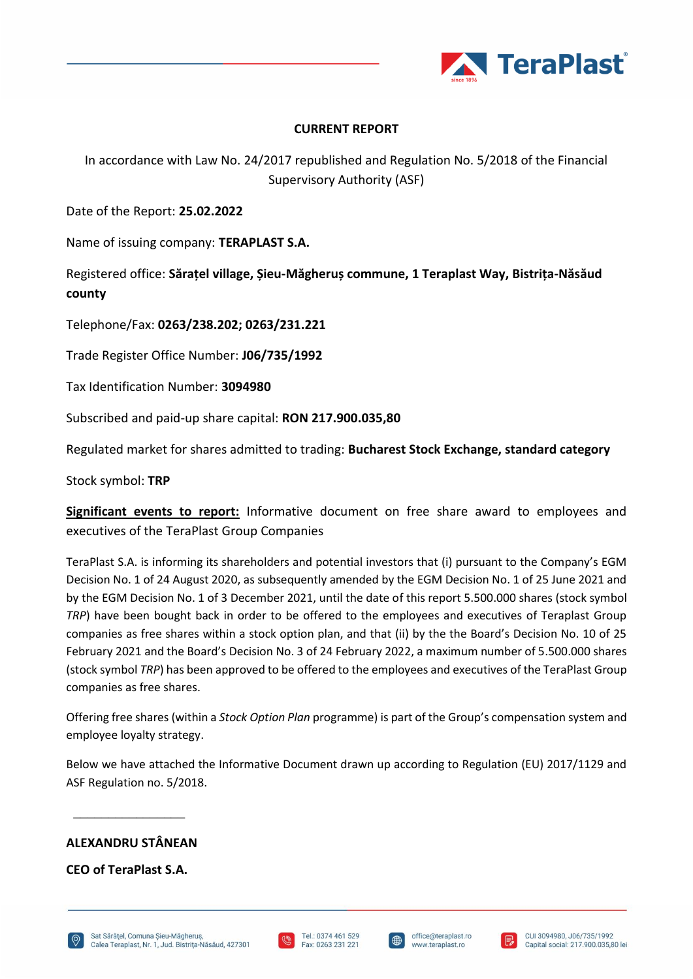

## **CURRENT REPORT**

In accordance with Law No. 24/2017 republished and Regulation No. 5/2018 of the Financial Supervisory Authority (ASF)

Date of the Report: **25.02.2022**

Name of issuing company: **TERAPLAST S.A.**

Registered office: **Sărațel village, Șieu-Măgheruș commune, 1 Teraplast Way, Bistrița-Năsăud county**

Telephone/Fax: **0263/238.202; 0263/231.221**

Trade Register Office Number: **J06/735/1992**

Tax Identification Number: **3094980**

Subscribed and paid-up share capital: **RON 217.900.035,80** 

Regulated market for shares admitted to trading: **Bucharest Stock Exchange, standard category**

Stock symbol: **TRP**

**Significant events to report:** Informative document on free share award to employees and executives of the TeraPlast Group Companies

TeraPlast S.A. is informing its shareholders and potential investors that (i) pursuant to the Company's EGM Decision No. 1 of 24 August 2020, as subsequently amended by the EGM Decision No. 1 of 25 June 2021 and by the EGM Decision No. 1 of 3 December 2021, until the date of this report 5.500.000 shares (stock symbol *TRP*) have been bought back in order to be offered to the employees and executives of Teraplast Group companies as free shares within a stock option plan, and that (ii) by the the Board's Decision No. 10 of 25 February 2021 and the Board's Decision No. 3 of 24 February 2022, a maximum number of 5.500.000 shares (stock symbol *TRP*) has been approved to be offered to the employees and executives of the TeraPlast Group companies as free shares.

Offering free shares (within a *Stock Option Plan* programme) is part of the Group's compensation system and employee loyalty strategy.

Below we have attached the Informative Document drawn up according to Regulation (EU) 2017/1129 and ASF Regulation no. 5/2018.

# **ALEXANDRU STÂNEAN**

 $\overline{\phantom{a}}$  , where  $\overline{\phantom{a}}$ 

**CEO of TeraPlast S.A.**





I⊕

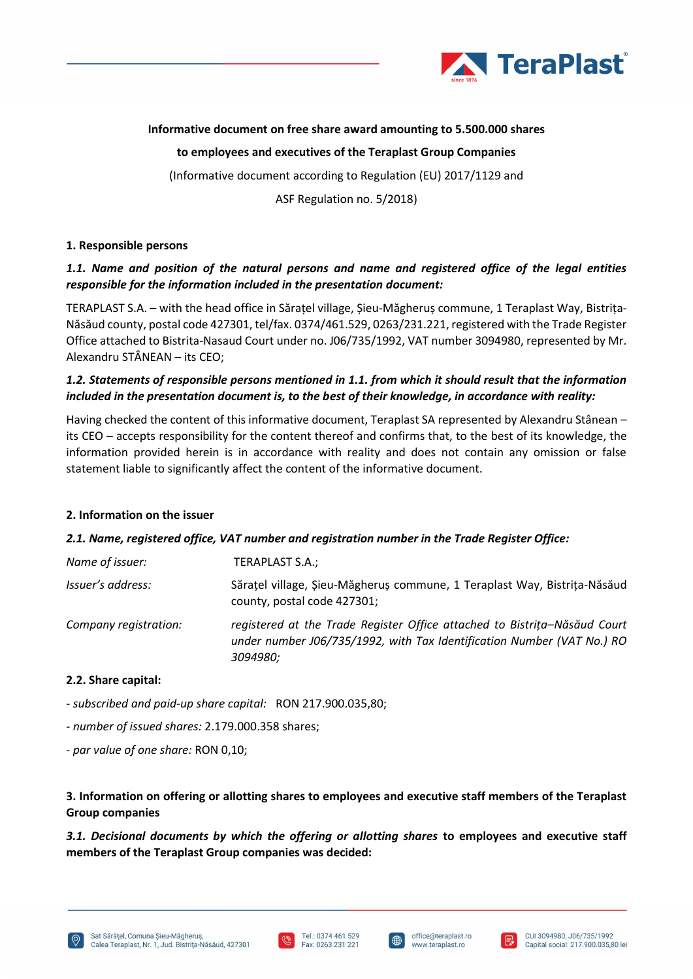

# **Informative document on free share award amounting to 5.500.000 shares**

**to employees and executives of the Teraplast Group Companies**

(Informative document according to Regulation (EU) 2017/1129 and

ASF Regulation no. 5/2018)

## **1. Responsible persons**

# *1.1. Name and position of the natural persons and name and registered office of the legal entities responsible for the information included in the presentation document:*

TERAPLAST S.A. – with the head office in Sărațel village, Șieu-Măgheruș commune, 1 Teraplast Way, Bistrița-Năsăud county, postal code 427301, tel/fax. 0374/461.529, 0263/231.221, registered with the Trade Register Office attached to Bistrita-Nasaud Court under no. J06/735/1992, VAT number 3094980, represented by Mr. Alexandru STÂNEAN – its CEO;

# *1.2. Statements of responsible persons mentioned in 1.1. from which it should result that the information included in the presentation document is, to the best of their knowledge, in accordance with reality:*

Having checked the content of this informative document, Teraplast SA represented by Alexandru Stânean – its CEO – accepts responsibility for the content thereof and confirms that, to the best of its knowledge, the information provided herein is in accordance with reality and does not contain any omission or false statement liable to significantly affect the content of the informative document.

## **2. Information on the issuer**

## *2.1. Name, registered office, VAT number and registration number in the Trade Register Office:*

| Name of issuer:       | TERAPLAST S.A.;                                                                                                                                                 |
|-----------------------|-----------------------------------------------------------------------------------------------------------------------------------------------------------------|
| Issuer's address:     | Sărațel village, Șieu-Măgheruș commune, 1 Teraplast Way, Bistrița-Năsăud<br>county, postal code 427301;                                                         |
| Company registration: | registered at the Trade Register Office attached to Bistrița–Năsăud Court<br>under number J06/735/1992, with Tax Identification Number (VAT No.) RO<br>3094980; |

## **2.2. Share capital:**

- *- subscribed and paid-up share capital:* RON 217.900.035,80;
- *- number of issued shares:* 2.179.000.358 shares;
- *- par value of one share:* RON 0,10;

# **3. Information on offering or allotting shares to employees and executive staff members of the Teraplast Group companies**

*3.1. Decisional documents by which the offering or allotting shares* **to employees and executive staff members of the Teraplast Group companies was decided:**







I⊕

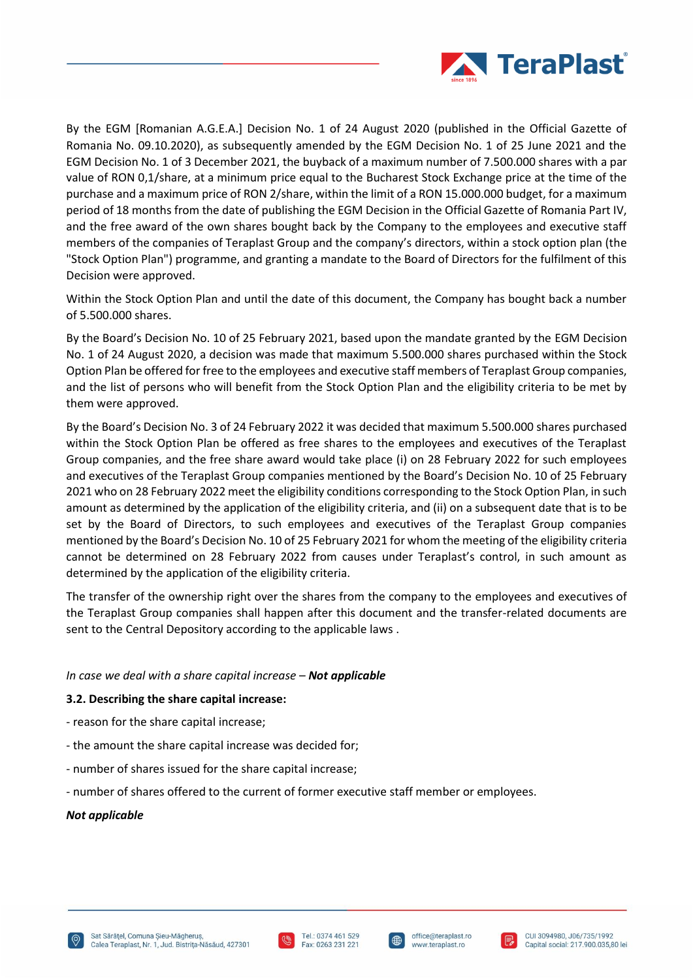

By the EGM [Romanian A.G.E.A.] Decision No. 1 of 24 August 2020 (published in the Official Gazette of Romania No. 09.10.2020), as subsequently amended by the EGM Decision No. 1 of 25 June 2021 and the EGM Decision No. 1 of 3 December 2021, the buyback of a maximum number of 7.500.000 shares with a par value of RON 0,1/share, at a minimum price equal to the Bucharest Stock Exchange price at the time of the purchase and a maximum price of RON 2/share, within the limit of a RON 15.000.000 budget, for a maximum period of 18 months from the date of publishing the EGM Decision in the Official Gazette of Romania Part IV, and the free award of the own shares bought back by the Company to the employees and executive staff members of the companies of Teraplast Group and the company's directors, within a stock option plan (the "Stock Option Plan") programme, and granting a mandate to the Board of Directors for the fulfilment of this Decision were approved.

Within the Stock Option Plan and until the date of this document, the Company has bought back a number of 5.500.000 shares.

By the Board's Decision No. 10 of 25 February 2021, based upon the mandate granted by the EGM Decision No. 1 of 24 August 2020, a decision was made that maximum 5.500.000 shares purchased within the Stock Option Plan be offered for free to the employees and executive staff members of Teraplast Group companies, and the list of persons who will benefit from the Stock Option Plan and the eligibility criteria to be met by them were approved.

By the Board's Decision No. 3 of 24 February 2022 it was decided that maximum 5.500.000 shares purchased within the Stock Option Plan be offered as free shares to the employees and executives of the Teraplast Group companies, and the free share award would take place (i) on 28 February 2022 for such employees and executives of the Teraplast Group companies mentioned by the Board's Decision No. 10 of 25 February 2021 who on 28 February 2022 meet the eligibility conditions corresponding to the Stock Option Plan, in such amount as determined by the application of the eligibility criteria, and (ii) on a subsequent date that is to be set by the Board of Directors, to such employees and executives of the Teraplast Group companies mentioned by the Board's Decision No. 10 of 25 February 2021 for whom the meeting of the eligibility criteria cannot be determined on 28 February 2022 from causes under Teraplast's control, in such amount as determined by the application of the eligibility criteria.

The transfer of the ownership right over the shares from the company to the employees and executives of the Teraplast Group companies shall happen after this document and the transfer-related documents are sent to the Central Depository according to the applicable laws .

#### *In case we deal with a share capital increase* – *Not applicable*

#### **3.2. Describing the share capital increase:**

- reason for the share capital increase;
- the amount the share capital increase was decided for;
- number of shares issued for the share capital increase;
- number of shares offered to the current of former executive staff member or employees.

#### *Not applicable*





I⊕